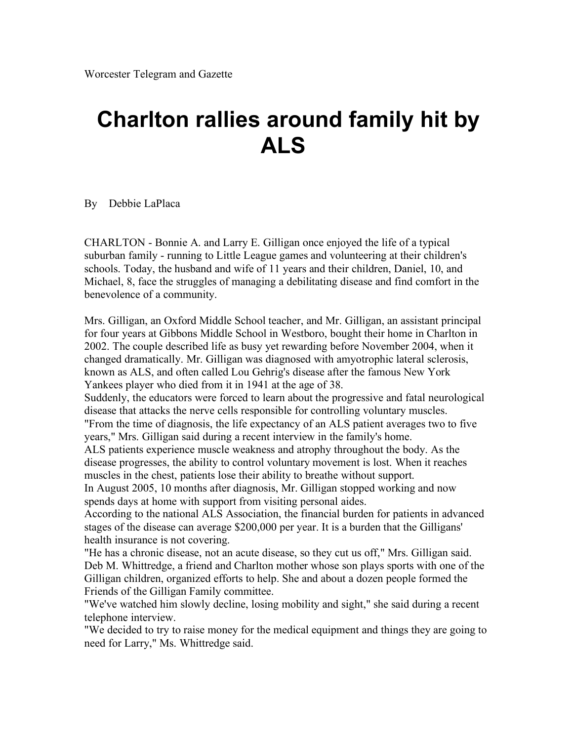## **Charlton rallies around family hit by ALS**

## By Debbie LaPlaca

CHARLTON - Bonnie A. and Larry E. Gilligan once enjoyed the life of a typical suburban family - running to Little League games and volunteering at their children's schools. Today, the husband and wife of 11 years and their children, Daniel, 10, and Michael, 8, face the struggles of managing a debilitating disease and find comfort in the benevolence of a community.

Mrs. Gilligan, an Oxford Middle School teacher, and Mr. Gilligan, an assistant principal for four years at Gibbons Middle School in Westboro, bought their home in Charlton in 2002. The couple described life as busy yet rewarding before November 2004, when it changed dramatically. Mr. Gilligan was diagnosed with amyotrophic lateral sclerosis, known as ALS, and often called Lou Gehrig's disease after the famous New York Yankees player who died from it in 1941 at the age of 38.

Suddenly, the educators were forced to learn about the progressive and fatal neurological disease that attacks the nerve cells responsible for controlling voluntary muscles. "From the time of diagnosis, the life expectancy of an ALS patient averages two to five years," Mrs. Gilligan said during a recent interview in the family's home.

ALS patients experience muscle weakness and atrophy throughout the body. As the disease progresses, the ability to control voluntary movement is lost. When it reaches muscles in the chest, patients lose their ability to breathe without support.

In August 2005, 10 months after diagnosis, Mr. Gilligan stopped working and now spends days at home with support from visiting personal aides.

According to the national ALS Association, the financial burden for patients in advanced stages of the disease can average \$200,000 per year. It is a burden that the Gilligans' health insurance is not covering.

"He has a chronic disease, not an acute disease, so they cut us off," Mrs. Gilligan said. Deb M. Whittredge, a friend and Charlton mother whose son plays sports with one of the Gilligan children, organized efforts to help. She and about a dozen people formed the Friends of the Gilligan Family committee.

"We've watched him slowly decline, losing mobility and sight," she said during a recent telephone interview.

"We decided to try to raise money for the medical equipment and things they are going to need for Larry," Ms. Whittredge said.